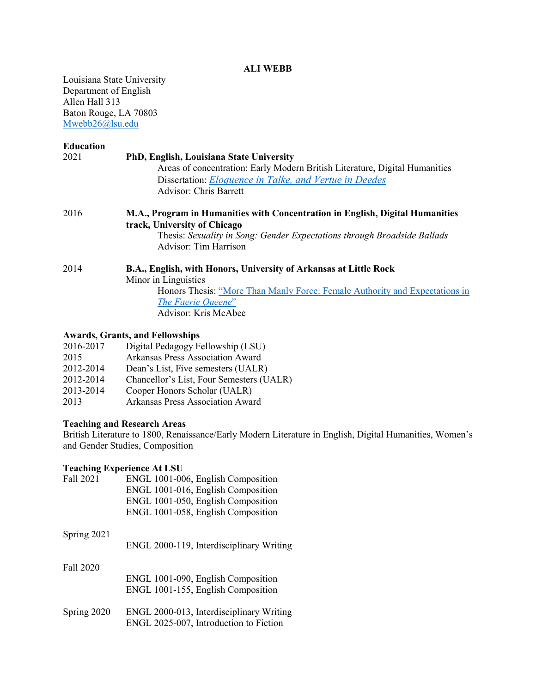#### **ALI WEBB**

Louisiana State University Department of English Allen Hall 313 Baton Rouge, LA 70803 [Mwebb26@lsu.edu](mailto:Mwebb26@lsu.edu)

| <b>Education</b> |                                                                                                               |
|------------------|---------------------------------------------------------------------------------------------------------------|
| 2021             | PhD, English, Louisiana State University                                                                      |
|                  | Areas of concentration: Early Modern British Literature, Digital Humanities                                   |
|                  | Dissertation: <i>Eloquence in Talke, and Vertue in Deedes</i>                                                 |
|                  | Advisor: Chris Barrett                                                                                        |
| 2016             | M.A., Program in Humanities with Concentration in English, Digital Humanities<br>track, University of Chicago |
|                  | Thesis: Sexuality in Song: Gender Expectations through Broadside Ballads<br><b>Advisor: Tim Harrison</b>      |
| 2014             | B.A., English, with Honors, University of Arkansas at Little Rock                                             |
|                  | Minor in Linguistics                                                                                          |
|                  | Honors Thesis: "More Than Manly Force: Female Authority and Expectations in                                   |
|                  | The Faerie Queene"                                                                                            |
|                  | Advisor: Kris McAbee                                                                                          |

#### **Awards, Grants, and Fellowships**

| 2016-2017 | Digital Pedagogy Fellowship (LSU)        |
|-----------|------------------------------------------|
| 2015      | <b>Arkansas Press Association Award</b>  |
| 2012-2014 | Dean's List, Five semesters (UALR)       |
| 2012-2014 | Chancellor's List, Four Semesters (UALR) |
| 2013-2014 | Cooper Honors Scholar (UALR)             |
| 2013      | Arkansas Press Association Award         |

#### **Teaching and Research Areas**

British Literature to 1800, Renaissance/Early Modern Literature in English, Digital Humanities, Women's and Gender Studies, Composition

### **Teaching Experience At LSU**

| Fall 2021   | ENGL 1001-006, English Composition       |
|-------------|------------------------------------------|
|             | ENGL 1001-016, English Composition       |
|             | ENGL 1001-050, English Composition       |
|             | ENGL 1001-058, English Composition       |
| Spring 2021 |                                          |
|             | ENGL 2000-119, Interdisciplinary Writing |
| Fall 2020   |                                          |
|             | ENGL 1001-090, English Composition       |
|             | ENGL 1001-155, English Composition       |
| Spring 2020 | ENGL 2000-013, Interdisciplinary Writing |
|             | ENGL 2025-007, Introduction to Fiction   |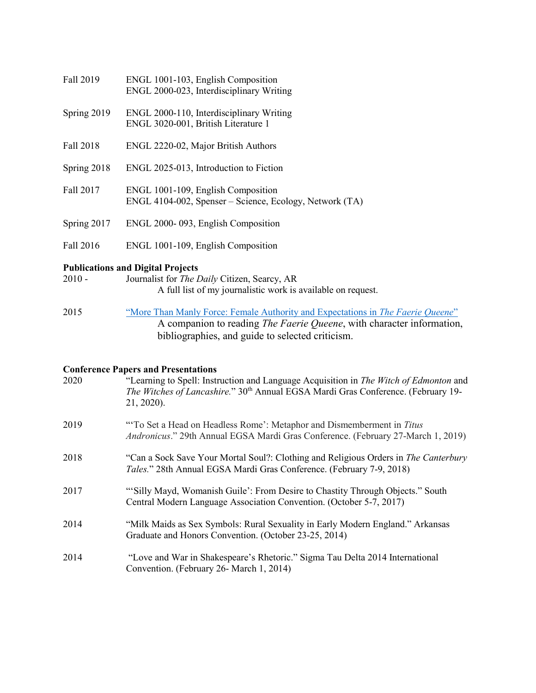| Fall 2019   | ENGL 1001-103, English Composition<br>ENGL 2000-023, Interdisciplinary Writing                |
|-------------|-----------------------------------------------------------------------------------------------|
| Spring 2019 | ENGL 2000-110, Interdisciplinary Writing<br>ENGL 3020-001, British Literature 1               |
| Fall 2018   | ENGL 2220-02, Major British Authors                                                           |
| Spring 2018 | ENGL 2025-013, Introduction to Fiction                                                        |
| Fall 2017   | ENGL 1001-109, English Composition<br>ENGL 4104-002, Spenser – Science, Ecology, Network (TA) |
| Spring 2017 | ENGL 2000-093, English Composition                                                            |
| Fall 2016   | ENGL 1001-109, English Composition                                                            |

# **Publications and Digital Projects**

| $2010 -$ | Journalist for <i>The Daily</i> Citizen, Searcy, AR          |
|----------|--------------------------------------------------------------|
|          | A full list of my journalistic work is available on request. |

2015 ["More Than Manly Force: Female Authority and Expectations in](https://thefaeriequeenesummary.wordpress.com/) *The Faerie Queene*" A companion to reading *The Faerie Queene*, with character information, bibliographies, and guide to selected criticism.

#### **Conference Papers and Presentations**

| 2020 | "Learning to Spell: Instruction and Language Acquisition in The Witch of Edmonton and<br>The Witches of Lancashire." 30 <sup>th</sup> Annual EGSA Mardi Gras Conference. (February 19-<br>21, 2020). |
|------|------------------------------------------------------------------------------------------------------------------------------------------------------------------------------------------------------|
| 2019 | "To Set a Head on Headless Rome': Metaphor and Dismemberment in Titus<br><i>Andronicus.</i> " 29th Annual EGSA Mardi Gras Conference. (February 27-March 1, 2019)                                    |
| 2018 | "Can a Sock Save Your Mortal Soul?: Clothing and Religious Orders in The Canterbury<br>Tales." 28th Annual EGSA Mardi Gras Conference. (February 7-9, 2018)                                          |
| 2017 | "Silly Mayd, Womanish Guile': From Desire to Chastity Through Objects." South<br>Central Modern Language Association Convention. (October 5-7, 2017)                                                 |
| 2014 | "Milk Maids as Sex Symbols: Rural Sexuality in Early Modern England." Arkansas<br>Graduate and Honors Convention. (October 23-25, 2014)                                                              |
| 2014 | "Love and War in Shakespeare's Rhetoric." Sigma Tau Delta 2014 International<br>Convention. (February 26- March 1, 2014)                                                                             |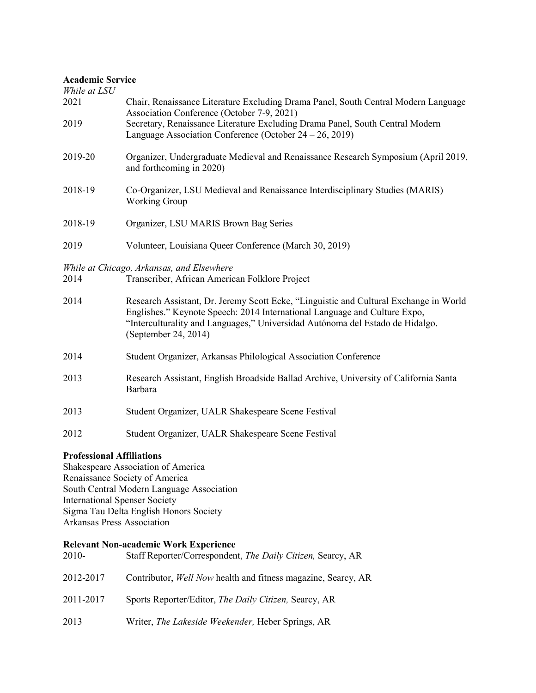#### **Academic Service**

| While at LSU              |                                                                                                                                                                                                                                                                             |  |
|---------------------------|-----------------------------------------------------------------------------------------------------------------------------------------------------------------------------------------------------------------------------------------------------------------------------|--|
| 2021                      | Chair, Renaissance Literature Excluding Drama Panel, South Central Modern Language<br>Association Conference (October 7-9, 2021)                                                                                                                                            |  |
| 2019                      | Secretary, Renaissance Literature Excluding Drama Panel, South Central Modern<br>Language Association Conference (October $24 - 26$ , 2019)                                                                                                                                 |  |
| 2019-20                   | Organizer, Undergraduate Medieval and Renaissance Research Symposium (April 2019,<br>and forthcoming in 2020)                                                                                                                                                               |  |
| 2018-19                   | Co-Organizer, LSU Medieval and Renaissance Interdisciplinary Studies (MARIS)<br><b>Working Group</b>                                                                                                                                                                        |  |
| 2018-19                   | Organizer, LSU MARIS Brown Bag Series                                                                                                                                                                                                                                       |  |
| 2019                      | Volunteer, Louisiana Queer Conference (March 30, 2019)                                                                                                                                                                                                                      |  |
|                           | While at Chicago, Arkansas, and Elsewhere                                                                                                                                                                                                                                   |  |
| 2014                      | Transcriber, African American Folklore Project                                                                                                                                                                                                                              |  |
| 2014                      | Research Assistant, Dr. Jeremy Scott Ecke, "Linguistic and Cultural Exchange in World<br>Englishes." Keynote Speech: 2014 International Language and Culture Expo,<br>"Interculturality and Languages," Universidad Autónoma del Estado de Hidalgo.<br>(September 24, 2014) |  |
| 2014                      | Student Organizer, Arkansas Philological Association Conference                                                                                                                                                                                                             |  |
| 2013                      | Research Assistant, English Broadside Ballad Archive, University of California Santa<br>Barbara                                                                                                                                                                             |  |
| 2013                      | Student Organizer, UALR Shakespeare Scene Festival                                                                                                                                                                                                                          |  |
| 2012                      | Student Organizer, UALR Shakespeare Scene Festival                                                                                                                                                                                                                          |  |
| Drofossianal Affiliations |                                                                                                                                                                                                                                                                             |  |

**Professional Affiliations**

Shakespeare Association of America Renaissance Society of America South Central Modern Language Association International Spenser Society Sigma Tau Delta English Honors Society Arkansas Press Association

## **Relevant Non-academic Work Experience**

| $2010-$   | Staff Reporter/Correspondent, The Daily Citizen, Searcy, AR          |
|-----------|----------------------------------------------------------------------|
| 2012-2017 | Contributor, <i>Well Now</i> health and fitness magazine, Searcy, AR |
| 2011-2017 | Sports Reporter/Editor, <i>The Daily Citizen</i> , Searcy, AR        |
| 2013      | Writer, The Lakeside Weekender, Heber Springs, AR                    |